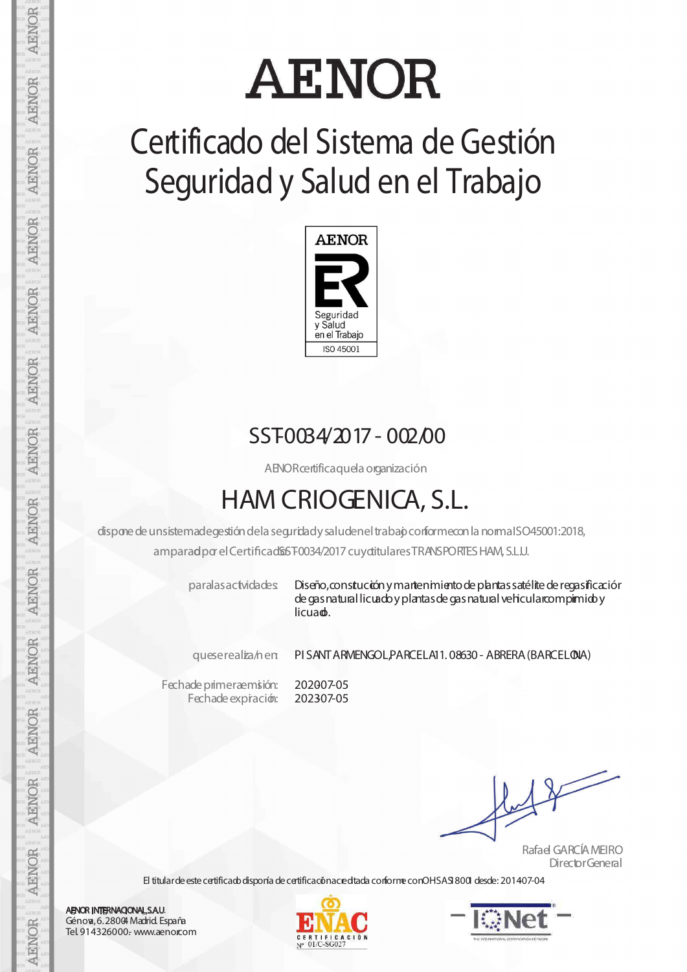# **AENOR**

## **Certificado del Sistema de Gestión Seguridad y Salud en el Trabajo**



#### SST0034/2017 - 002/00

AENORcertificaquela organización

### **HAM CRIOGENICA, S.L.**

dispone de unsistemadegestión dela seguridady saludenel trabajo conformecon la normaISO45001:2018, amparad por el Certificad \$5 F0034/2017 cuy ditulares TRANSPORTES HAM, S.L.U.

paralasactvidades Diseño, constución y martenimiento de plantas satélite de regasificación de gas natural licuado y plantas de gas natural vehicularcompirmido y licuad.

queserealiza/nen: PI SANTARMENGOL,PARCELA11. 08630- ABRERA(BARCELONA)

Fechade primeraemisión: Fechade expración: 202007-05 202307-05

Rafael GARCÍAMEIRO DirectorGeneral

El titular de este certificado disponía de certificaciónacre dtada conforme conOHSASI8001 desde: 201407-04





**AENOR INTERNACIONAL S.A.U.** Génova,6.28004Madrid. España Tel. 914326000.- www.aenor.com